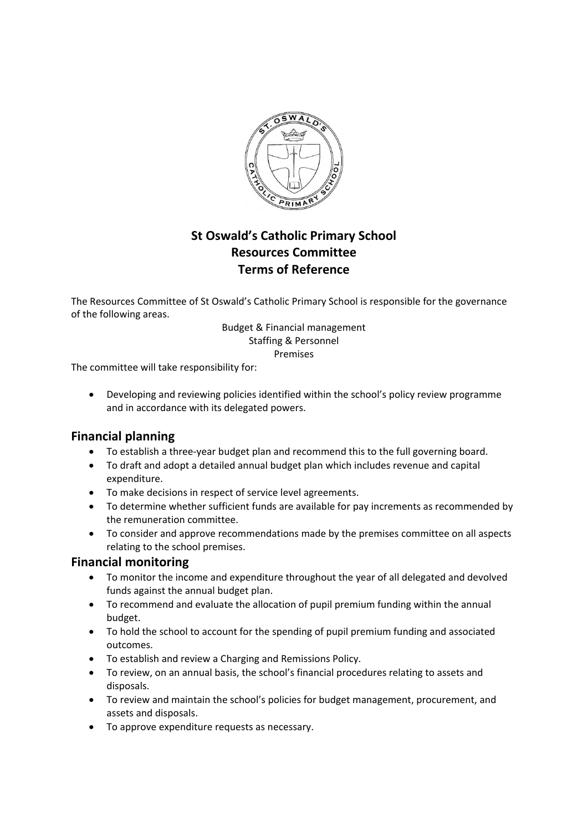

# **St Oswald's Catholic Primary School Resources Committee Terms of Reference**

The Resources Committee of St Oswald's Catholic Primary School is responsible for the governance of the following areas.

#### Budget & Financial management Staffing & Personnel Premises

The committee will take responsibility for:

• Developing and reviewing policies identified within the school's policy review programme and in accordance with its delegated powers.

#### **Financial planning**

- To establish a three-year budget plan and recommend this to the full governing board.
- To draft and adopt a detailed annual budget plan which includes revenue and capital expenditure.
- To make decisions in respect of service level agreements.
- To determine whether sufficient funds are available for pay increments as recommended by the remuneration committee.
- To consider and approve recommendations made by the premises committee on all aspects relating to the school premises.

#### **Financial monitoring**

- To monitor the income and expenditure throughout the year of all delegated and devolved funds against the annual budget plan.
- To recommend and evaluate the allocation of pupil premium funding within the annual budget.
- To hold the school to account for the spending of pupil premium funding and associated outcomes.
- To establish and review a Charging and Remissions Policy.
- To review, on an annual basis, the school's financial procedures relating to assets and disposals.
- To review and maintain the school's policies for budget management, procurement, and assets and disposals.
- To approve expenditure requests as necessary.